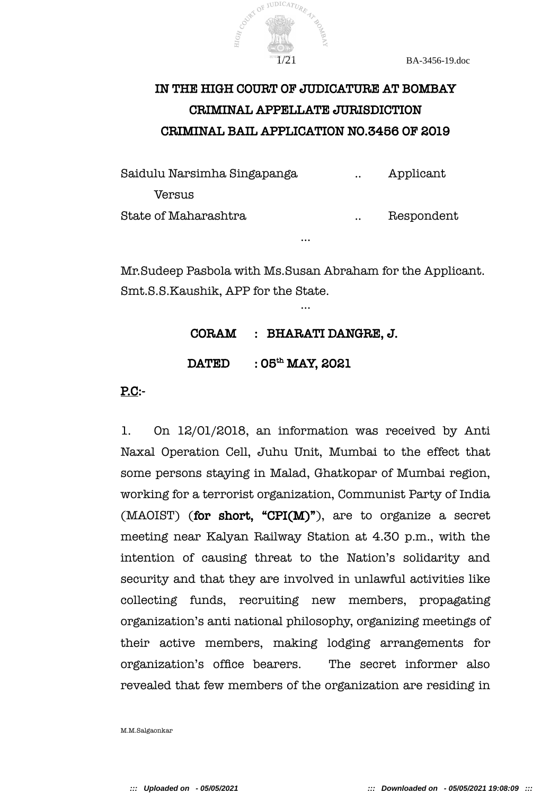

# IN THE HIGH COURT OF JUDICATURE AT BOMBAY CRIMINAL APPELLATE JURISDICTION CRIMINAL BAIL APPLICATION NO.3456 OF 2019

| Saidulu Narsimha Singapanga | $\ddot{\phantom{a}}$ | Applicant  |
|-----------------------------|----------------------|------------|
| <b>Versus</b>               |                      |            |
| State of Maharashtra        | $\ddot{\bullet}$     | Respondent |

Mr.Sudeep Pasbola with Ms.Susan Abraham for the Applicant. Smt.S.S.Kaushik, APP for the State.

…

…

## CORAM : BHARATI DANGRE, J.

## $DATA$  :  $05<sup>th</sup>$  MAY, 2021

## P.C:-

1. On 12/01/2018, an information was received by Anti Naxal Operation Cell, Juhu Unit, Mumbai to the effect that some persons staying in Malad, Ghatkopar of Mumbai region, working for a terrorist organization, Communist Party of India (MAOIST) (for short, "CPI $(M)$ "), are to organize a secret meeting near Kalyan Railway Station at 4.30 p.m., with the intention of causing threat to the Nation's solidarity and security and that they are involved in unlawful activities like collecting funds, recruiting new members, propagating organization's anti national philosophy, organizing meetings of their active members, making lodging arrangements for organization's offce bearers. The secret informer also revealed that few members of the organization are residing in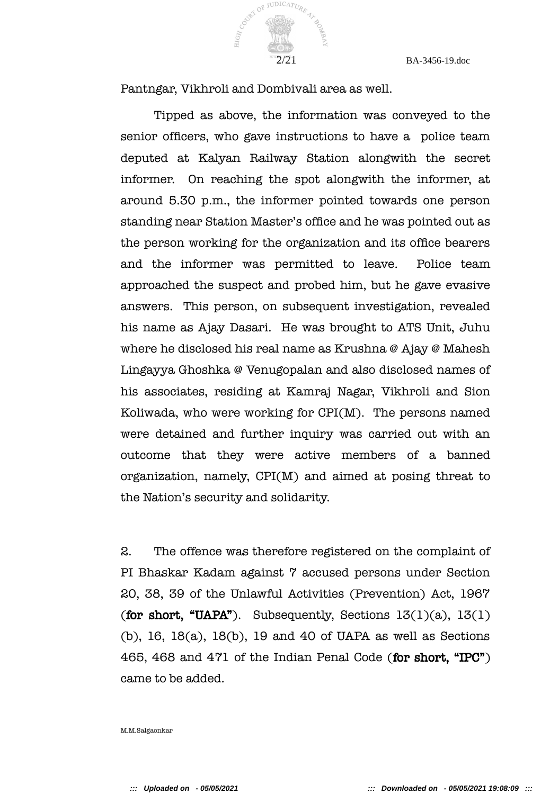Pantngar, Vikhroli and Dombivali area as well.

COURT OF JUDICATURE

Tipped as above, the information was conveyed to the senior officers, who gave instructions to have a police team deputed at Kalyan Railway Station alongwith the secret informer. On reaching the spot alongwith the informer, at around 5.30 p.m., the informer pointed towards one person standing near Station Master's offce and he was pointed out as the person working for the organization and its offce bearers and the informer was permitted to leave. Police team approached the suspect and probed him, but he gave evasive answers. This person, on subsequent investigation, revealed his name as Ajay Dasari. He was brought to ATS Unit, Juhu where he disclosed his real name as Krushna @ Ajay @ Mahesh Lingayya Ghoshka @ Venugopalan and also disclosed names of his associates, residing at Kamraj Nagar, Vikhroli and Sion Koliwada, who were working for CPI(M). The persons named were detained and further inquiry was carried out with an outcome that they were active members of a banned organization, namely, CPI(M) and aimed at posing threat to the Nation's security and solidarity.

2. The offence was therefore registered on the complaint of PI Bhaskar Kadam against 7 accused persons under Section 20, 38, 39 of the Unlawful Activities (Prevention) Act, 1967 (for short, "UAPA"). Subsequently, Sections  $13(1)(a)$ ,  $13(1)$ (b), 16, 18(a), 18(b), 19 and 40 of UAPA as well as Sections 465, 468 and 471 of the Indian Penal Code (for short, "IPC") came to be added.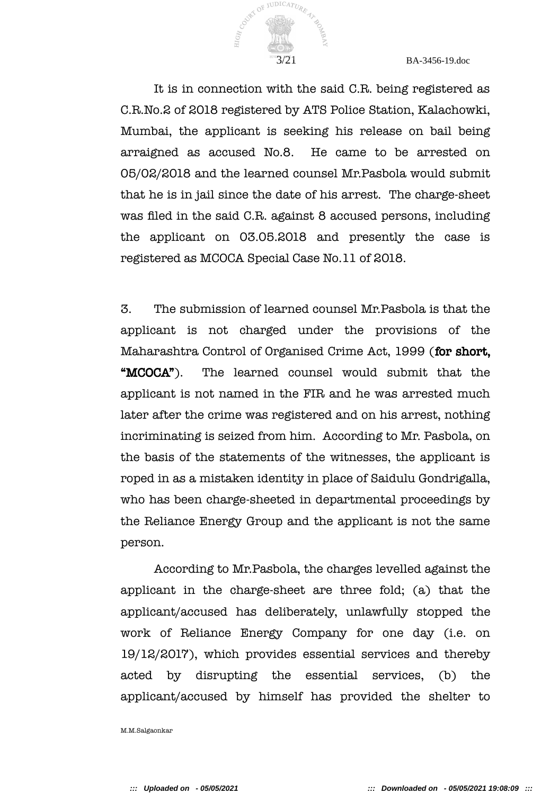

It is in connection with the said C.R. being registered as C.R.No.2 of 2018 registered by ATS Police Station, Kalachowki, Mumbai, the applicant is seeking his release on bail being arraigned as accused No.8. He came to be arrested on 05/02/2018 and the learned counsel Mr.Pasbola would submit that he is in jail since the date of his arrest. The charge-sheet was fled in the said C.R. against 8 accused persons, including the applicant on 03.05.2018 and presently the case is registered as MCOCA Special Case No.11 of 2018.

3. The submission of learned counsel Mr.Pasbola is that the applicant is not charged under the provisions of the Maharashtra Control of Organised Crime Act, 1999 (for short, "MCOCA"). The learned counsel would submit that the applicant is not named in the FIR and he was arrested much later after the crime was registered and on his arrest, nothing incriminating is seized from him. According to Mr. Pasbola, on the basis of the statements of the witnesses, the applicant is roped in as a mistaken identity in place of Saidulu Gondrigalla, who has been charge-sheeted in departmental proceedings by the Reliance Energy Group and the applicant is not the same person.

According to Mr.Pasbola, the charges levelled against the applicant in the charge-sheet are three fold; (a) that the applicant/accused has deliberately, unlawfully stopped the work of Reliance Energy Company for one day (i.e. on 19/12/2017), which provides essential services and thereby acted by disrupting the essential services, (b) the applicant/accused by himself has provided the shelter to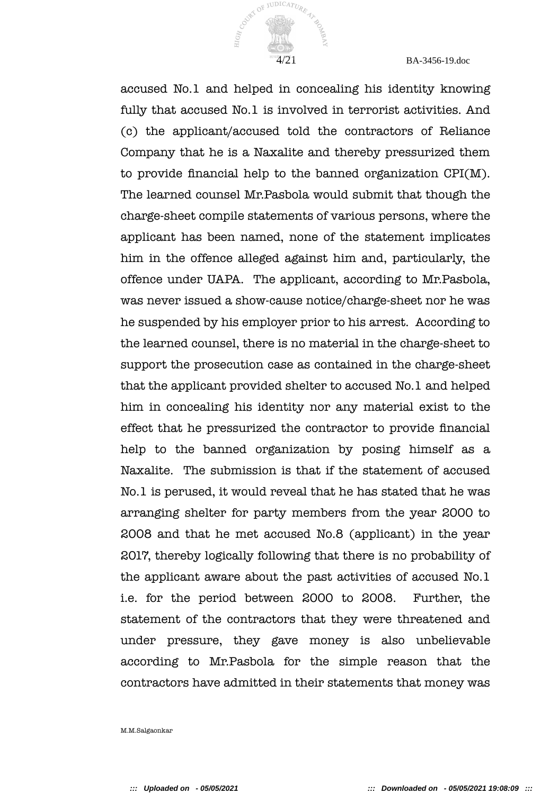

accused No.1 and helped in concealing his identity knowing fully that accused No.1 is involved in terrorist activities. And (c) the applicant/accused told the contractors of Reliance Company that he is a Naxalite and thereby pressurized them to provide fnancial help to the banned organization CPI(M). The learned counsel Mr.Pasbola would submit that though the charge-sheet compile statements of various persons, where the applicant has been named, none of the statement implicates him in the offence alleged against him and, particularly, the offence under UAPA. The applicant, according to Mr.Pasbola, was never issued a show-cause notice/charge-sheet nor he was he suspended by his employer prior to his arrest. According to the learned counsel, there is no material in the charge-sheet to support the prosecution case as contained in the charge-sheet that the applicant provided shelter to accused No.1 and helped him in concealing his identity nor any material exist to the effect that he pressurized the contractor to provide fnancial help to the banned organization by posing himself as a Naxalite. The submission is that if the statement of accused No.1 is perused, it would reveal that he has stated that he was arranging shelter for party members from the year 2000 to 2008 and that he met accused No.8 (applicant) in the year 2017, thereby logically following that there is no probability of the applicant aware about the past activities of accused No.1 i.e. for the period between 2000 to 2008. Further, the statement of the contractors that they were threatened and under pressure, they gave money is also unbelievable according to Mr.Pasbola for the simple reason that the contractors have admitted in their statements that money was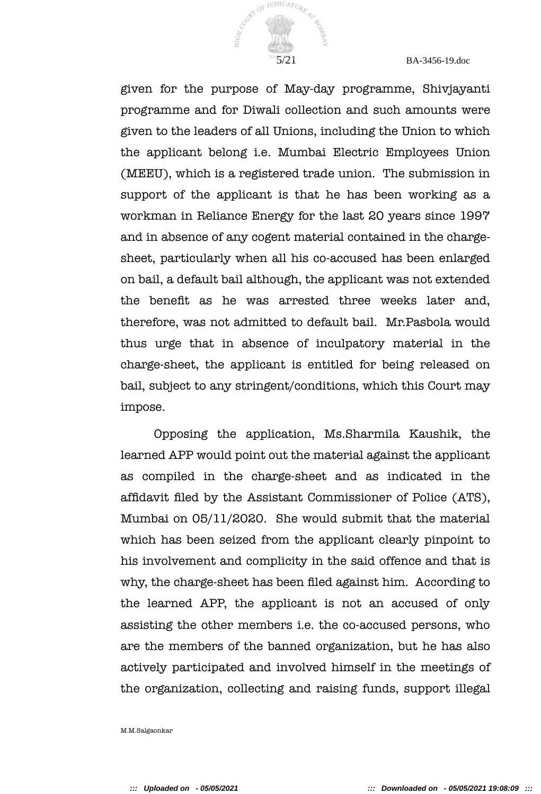

given for the purpose of May-day programme, Shivjayanti programme and for Diwali collection and such amounts were given to the leaders of all Unions, including the Union to which the applicant belong i.e. Mumbai Electric Employees Union (MEEU), which is a registered trade union. The submission in support of the applicant is that he has been working as a workman in Reliance Energy for the last 20 years since 1997 and in absence of any cogent material contained in the chargesheet, particularly when all his co-accused has been enlarged on bail, a default bail although, the applicant was not extended the beneft as he was arrested three weeks later and, therefore, was not admitted to default bail. Mr.Pasbola would thus urge that in absence of inculpatory material in the charge-sheet, the applicant is entitled for being released on bail, subject to any stringent/conditions, which this Court may impose.

Opposing the application, Ms.Sharmila Kaushik, the learned APP would point out the material against the applicant as compiled in the charge-sheet and as indicated in the affdavit fled by the Assistant Commissioner of Police (ATS), Mumbai on 05/11/2020. She would submit that the material which has been seized from the applicant clearly pinpoint to his involvement and complicity in the said offence and that is why, the charge-sheet has been fled against him. According to the learned APP, the applicant is not an accused of only assisting the other members i.e. the co-accused persons, who are the members of the banned organization, but he has also actively participated and involved himself in the meetings of the organization, collecting and raising funds, support illegal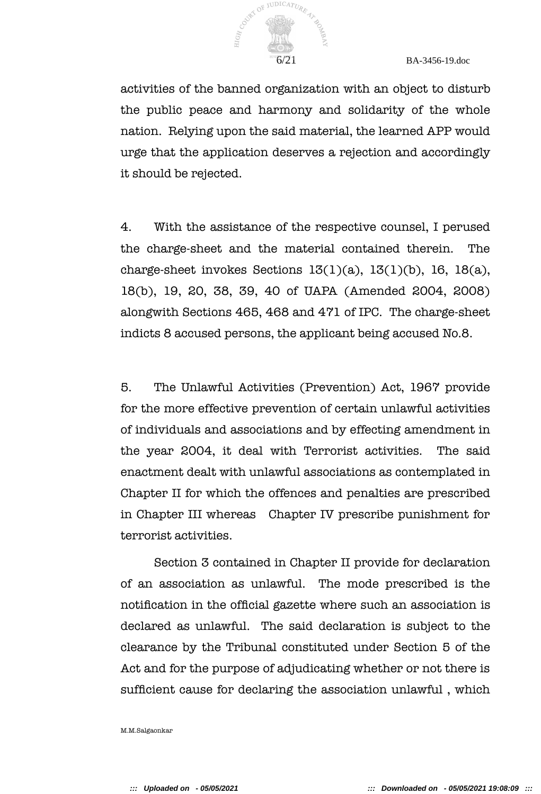

activities of the banned organization with an object to disturb the public peace and harmony and solidarity of the whole nation. Relying upon the said material, the learned APP would urge that the application deserves a rejection and accordingly it should be rejected.

4. With the assistance of the respective counsel, I perused the charge-sheet and the material contained therein. The charge-sheet invokes Sections  $13(1)(a)$ ,  $13(1)(b)$ ,  $16$ ,  $18(a)$ , 18(b), 19, 20, 38, 39, 40 of UAPA (Amended 2004, 2008) alongwith Sections 465, 468 and 471 of IPC. The charge-sheet indicts 8 accused persons, the applicant being accused No.8.

5. The Unlawful Activities (Prevention) Act, 1967 provide for the more effective prevention of certain unlawful activities of individuals and associations and by effecting amendment in the year 2004, it deal with Terrorist activities. The said enactment dealt with unlawful associations as contemplated in Chapter II for which the offences and penalties are prescribed in Chapter III whereas Chapter IV prescribe punishment for terrorist activities.

Section 3 contained in Chapter II provide for declaration of an association as unlawful. The mode prescribed is the notification in the official gazette where such an association is declared as unlawful. The said declaration is subject to the clearance by the Tribunal constituted under Section 5 of the Act and for the purpose of adjudicating whether or not there is sufficient cause for declaring the association unlawful, which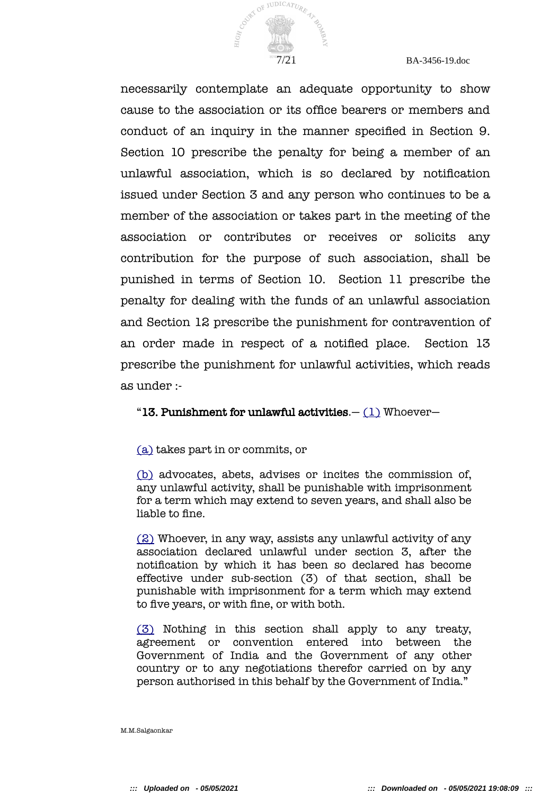

necessarily contemplate an adequate opportunity to show cause to the association or its offce bearers or members and conduct of an inquiry in the manner specifed in Section 9. Section 10 prescribe the penalty for being a member of an unlawful association, which is so declared by notifcation issued under Section 3 and any person who continues to be a member of the association or takes part in the meeting of the association or contributes or receives or solicits any contribution for the purpose of such association, shall be punished in terms of Section 10. Section 11 prescribe the penalty for dealing with the funds of an unlawful association and Section 12 prescribe the punishment for contravention of an order made in respect of a notifed place. Section 13 prescribe the punishment for unlawful activities, which reads as under :-

#### "13. Punishment for unlawful activities. $-$  (1) Whoever-

(a) takes part in or commits, or

(b) advocates, abets, advises or incites the commission of, any unlawful activity, shall be punishable with imprisonment for a term which may extend to seven years, and shall also be liable to fne.

(2) Whoever, in any way, assists any unlawful activity of any association declared unlawful under section 3, after the notifcation by which it has been so declared has become effective under sub-section (3) of that section, shall be punishable with imprisonment for a term which may extend to five years, or with fine, or with both.

(3) Nothing in this section shall apply to any treaty, agreement or convention entered into between the Government of India and the Government of any other country or to any negotiations therefor carried on by any person authorised in this behalf by the Government of India."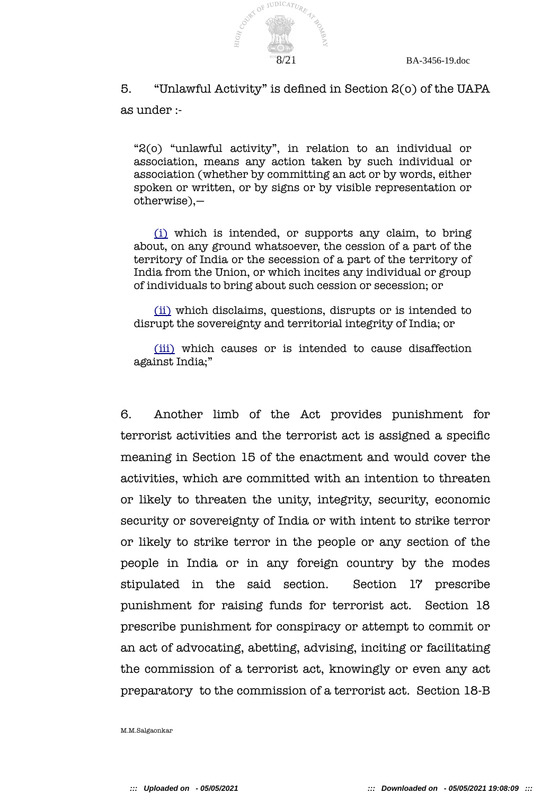

5. "Unlawful Activity" is defned in Section 2(o) of the UAPA as under :-

"2(o) "unlawful activity", in relation to an individual or association, means any action taken by such individual or association (whether by committing an act or by words, either spoken or written, or by signs or by visible representation or otherwise),—

(i) which is intended, or supports any claim, to bring about, on any ground whatsoever, the cession of a part of the territory of India or the secession of a part of the territory of India from the Union, or which incites any individual or group of individuals to bring about such cession or secession; or

(ii) which disclaims, questions, disrupts or is intended to disrupt the sovereignty and territorial integrity of India; or

(iii) which causes or is intended to cause disaffection against India;"

6. Another limb of the Act provides punishment for terrorist activities and the terrorist act is assigned a specifc meaning in Section 15 of the enactment and would cover the activities, which are committed with an intention to threaten or likely to threaten the unity, integrity, security, economic security or sovereignty of India or with intent to strike terror or likely to strike terror in the people or any section of the people in India or in any foreign country by the modes stipulated in the said section. Section 17 prescribe punishment for raising funds for terrorist act. Section 18 prescribe punishment for conspiracy or attempt to commit or an act of advocating, abetting, advising, inciting or facilitating the commission of a terrorist act, knowingly or even any act preparatory to the commission of a terrorist act. Section 18-B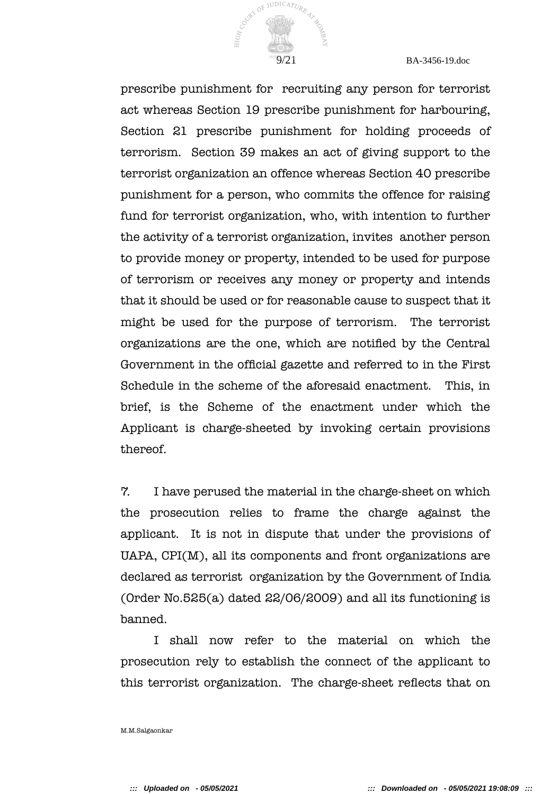

prescribe punishment for recruiting any person for terrorist act whereas Section 19 prescribe punishment for harbouring, Section 21 prescribe punishment for holding proceeds of terrorism. Section 39 makes an act of giving support to the terrorist organization an offence whereas Section 40 prescribe punishment for a person, who commits the offence for raising fund for terrorist organization, who, with intention to further the activity of a terrorist organization, invites another person to provide money or property, intended to be used for purpose of terrorism or receives any money or property and intends that it should be used or for reasonable cause to suspect that it might be used for the purpose of terrorism. The terrorist organizations are the one, which are notifed by the Central Government in the official gazette and referred to in the First Schedule in the scheme of the aforesaid enactment. This, in brief, is the Scheme of the enactment under which the Applicant is charge-sheeted by invoking certain provisions thereof.

7. I have perused the material in the charge-sheet on which the prosecution relies to frame the charge against the applicant. It is not in dispute that under the provisions of UAPA, CPI(M), all its components and front organizations are declared as terrorist organization by the Government of India (Order No.525(a) dated 22/06/2009) and all its functioning is banned.

I shall now refer to the material on which the prosecution rely to establish the connect of the applicant to this terrorist organization. The charge-sheet refects that on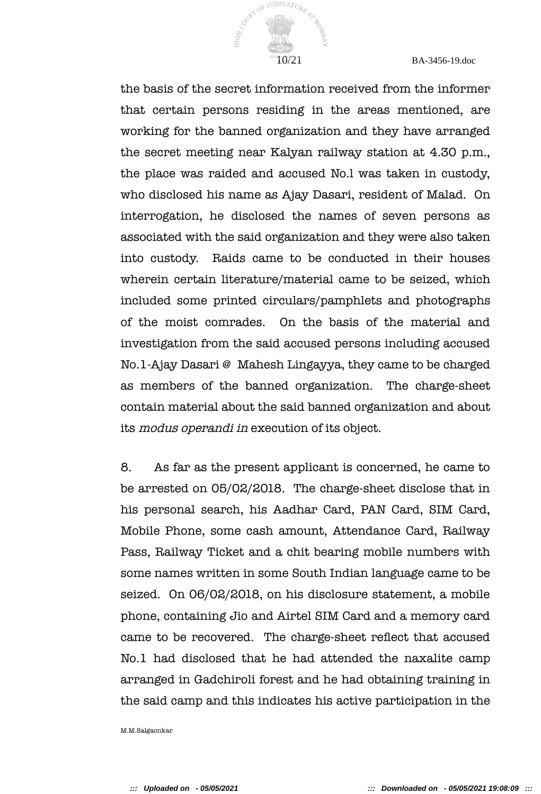

the basis of the secret information received from the informer that certain persons residing in the areas mentioned, are working for the banned organization and they have arranged the secret meeting near Kalyan railway station at 4.30 p.m., the place was raided and accused No.l was taken in custody, who disclosed his name as Ajay Dasari, resident of Malad. On interrogation, he disclosed the names of seven persons as associated with the said organization and they were also taken into custody. Raids came to be conducted in their houses wherein certain literature/material came to be seized, which included some printed circulars/pamphlets and photographs of the moist comrades. On the basis of the material and investigation from the said accused persons including accused No.1-Ajay Dasari @ Mahesh Lingayya, they came to be charged as members of the banned organization. The charge-sheet contain material about the said banned organization and about its modus operandi in execution of its object.

8. As far as the present applicant is concerned, he came to be arrested on 05/02/2018. The charge-sheet disclose that in his personal search, his Aadhar Card, PAN Card, SIM Card, Mobile Phone, some cash amount, Attendance Card, Railway Pass, Railway Ticket and a chit bearing mobile numbers with some names written in some South Indian language came to be seized. On 06/02/2018, on his disclosure statement, a mobile phone, containing Jio and Airtel SIM Card and a memory card came to be recovered. The charge-sheet refect that accused No.1 had disclosed that he had attended the naxalite camp arranged in Gadchiroli forest and he had obtaining training in the said camp and this indicates his active participation in the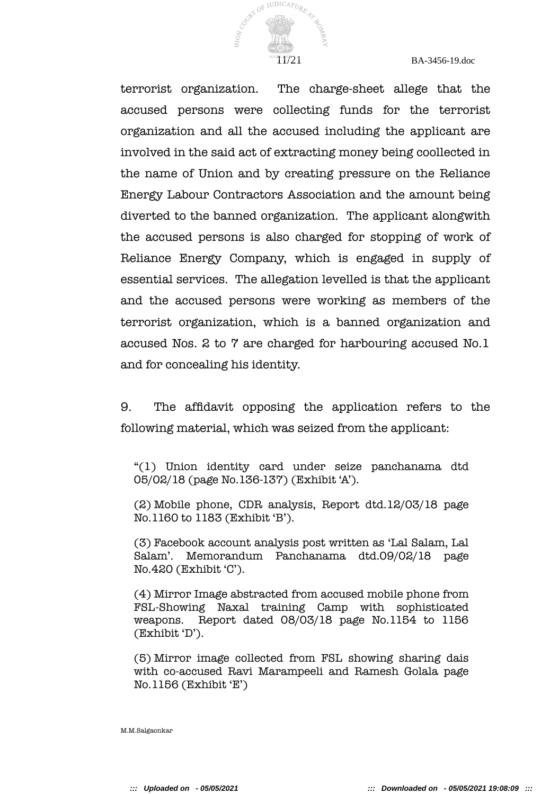COVEX OF JUDICATURE 47 HIGH C

terrorist organization. The charge-sheet allege that the accused persons were collecting funds for the terrorist organization and all the accused including the applicant are involved in the said act of extracting money being coollected in the name of Union and by creating pressure on the Reliance Energy Labour Contractors Association and the amount being diverted to the banned organization. The applicant alongwith the accused persons is also charged for stopping of work of Reliance Energy Company, which is engaged in supply of essential services. The allegation levelled is that the applicant and the accused persons were working as members of the terrorist organization, which is a banned organization and accused Nos. 2 to 7 are charged for harbouring accused No.1 and for concealing his identity.

9. The affdavit opposing the application refers to the following material, which was seized from the applicant:

"(1) Union identity card under seize panchanama dtd 05/02/18 (page No.136-137) (Exhibit 'A').

(2) Mobile phone, CDR analysis, Report dtd.12/03/18 page No.1160 to 1183 (Exhibit 'B').

(3) Facebook account analysis post written as 'Lal Salam, Lal Salam'. Memorandum Panchanama dtd.09/02/18 page No.420 (Exhibit 'C').

(4) Mirror Image abstracted from accused mobile phone from FSL-Showing Naxal training Camp with sophisticated weapons. Report dated 08/03/18 page No.1154 to 1156 (Exhibit 'D').

(5) Mirror image collected from FSL showing sharing dais with co-accused Ravi Marampeeli and Ramesh Golala page No.1156 (Exhibit 'E')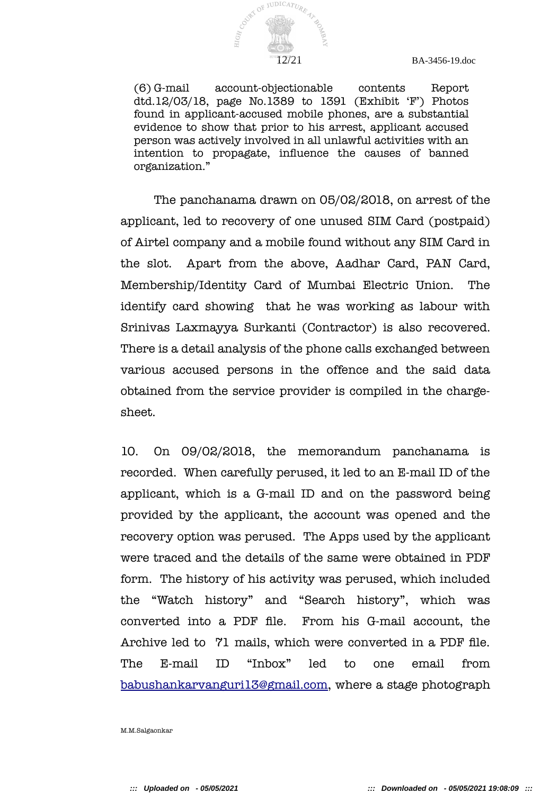

(6) G-mail account-objectionable contents Report dtd.12/03/18, page No.1389 to 1391 (Exhibit 'F') Photos found in applicant-accused mobile phones, are a substantial evidence to show that prior to his arrest, applicant accused person was actively involved in all unlawful activities with an intention to propagate, infuence the causes of banned organization."

The panchanama drawn on 05/02/2018, on arrest of the applicant, led to recovery of one unused SIM Card (postpaid) of Airtel company and a mobile found without any SIM Card in the slot. Apart from the above, Aadhar Card, PAN Card, Membership/Identity Card of Mumbai Electric Union. The identify card showing that he was working as labour with Srinivas Laxmayya Surkanti (Contractor) is also recovered. There is a detail analysis of the phone calls exchanged between various accused persons in the offence and the said data obtained from the service provider is compiled in the chargesheet.

10. On 09/02/2018, the memorandum panchanama is recorded. When carefully perused, it led to an E-mail ID of the applicant, which is a G-mail ID and on the password being provided by the applicant, the account was opened and the recovery option was perused. The Apps used by the applicant were traced and the details of the same were obtained in PDF form. The history of his activity was perused, which included the "Watch history" and "Search history", which was converted into a PDF fle. From his G-mail account, the Archive led to 71 mails, which were converted in a PDF fle. The E-mail ID "Inbox" led to one email from babushankarvanguri13@gmail.com, where a stage photograph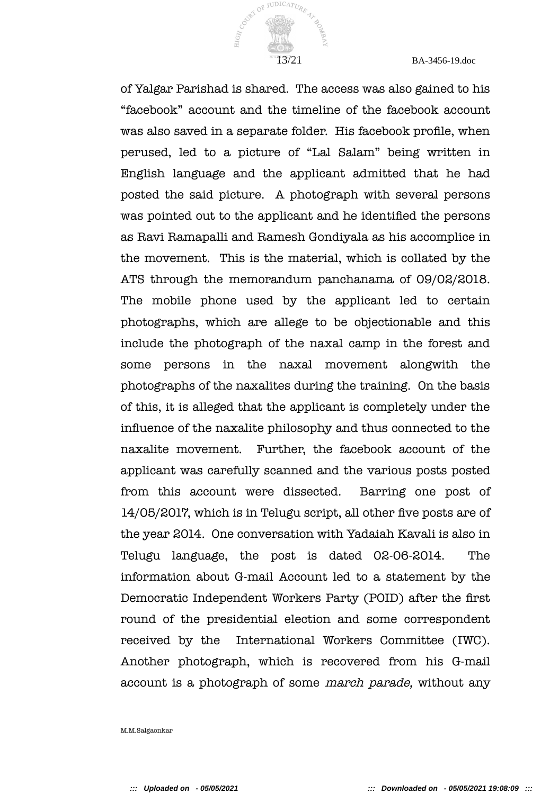

of Yalgar Parishad is shared. The access was also gained to his "facebook" account and the timeline of the facebook account was also saved in a separate folder. His facebook profle, when perused, led to a picture of "Lal Salam" being written in English language and the applicant admitted that he had posted the said picture. A photograph with several persons was pointed out to the applicant and he identifed the persons as Ravi Ramapalli and Ramesh Gondiyala as his accomplice in the movement. This is the material, which is collated by the ATS through the memorandum panchanama of 09/02/2018. The mobile phone used by the applicant led to certain photographs, which are allege to be objectionable and this include the photograph of the naxal camp in the forest and some persons in the naxal movement alongwith the photographs of the naxalites during the training. On the basis of this, it is alleged that the applicant is completely under the infuence of the naxalite philosophy and thus connected to the naxalite movement. Further, the facebook account of the applicant was carefully scanned and the various posts posted from this account were dissected. Barring one post of 14/05/2017, which is in Telugu script, all other fve posts are of the year 2014. One conversation with Yadaiah Kavali is also in Telugu language, the post is dated 02-06-2014. The information about G-mail Account led to a statement by the Democratic Independent Workers Party (POID) after the frst round of the presidential election and some correspondent received by the International Workers Committee (IWC). Another photograph, which is recovered from his G-mail account is a photograph of some march parade, without any

M.M.Salgaonkar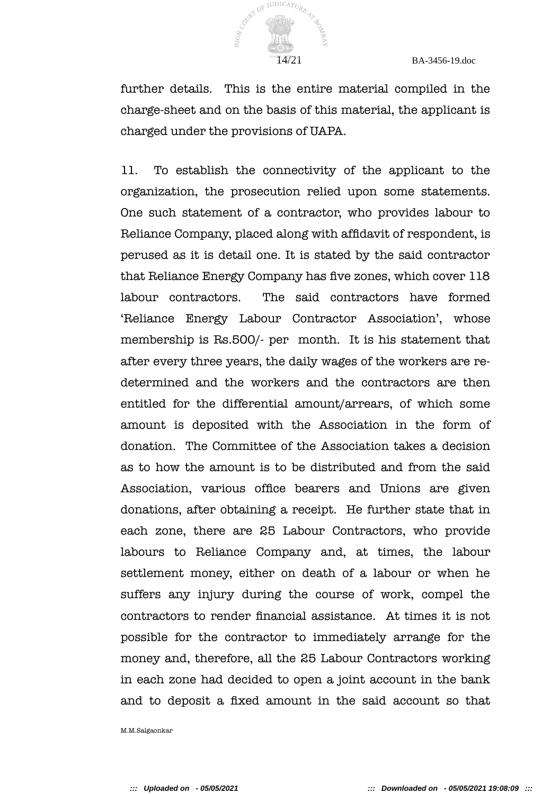

further details. This is the entire material compiled in the charge-sheet and on the basis of this material, the applicant is charged under the provisions of UAPA.

11. To establish the connectivity of the applicant to the organization, the prosecution relied upon some statements. One such statement of a contractor, who provides labour to Reliance Company, placed along with affdavit of respondent, is perused as it is detail one. It is stated by the said contractor that Reliance Energy Company has fve zones, which cover 118 labour contractors. The said contractors have formed 'Reliance Energy Labour Contractor Association', whose membership is Rs.500/- per month. It is his statement that after every three years, the daily wages of the workers are redetermined and the workers and the contractors are then entitled for the differential amount/arrears, of which some amount is deposited with the Association in the form of donation. The Committee of the Association takes a decision as to how the amount is to be distributed and from the said Association, various office bearers and Unions are given donations, after obtaining a receipt. He further state that in each zone, there are 25 Labour Contractors, who provide labours to Reliance Company and, at times, the labour settlement money, either on death of a labour or when he suffers any injury during the course of work, compel the contractors to render fnancial assistance. At times it is not possible for the contractor to immediately arrange for the money and, therefore, all the 25 Labour Contractors working in each zone had decided to open a joint account in the bank and to deposit a fxed amount in the said account so that

M.M.Salgaonkar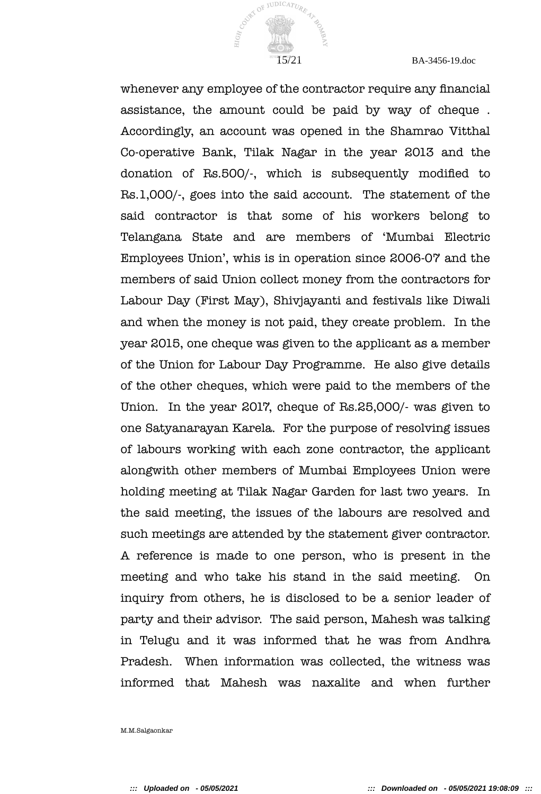

whenever any employee of the contractor require any fnancial assistance, the amount could be paid by way of cheque . Accordingly, an account was opened in the Shamrao Vitthal Co-operative Bank, Tilak Nagar in the year 2013 and the donation of Rs.500/-, which is subsequently modifed to Rs.1,000/-, goes into the said account. The statement of the said contractor is that some of his workers belong to Telangana State and are members of 'Mumbai Electric Employees Union', whis is in operation since 2006-07 and the members of said Union collect money from the contractors for Labour Day (First May), Shivjayanti and festivals like Diwali and when the money is not paid, they create problem. In the year 2015, one cheque was given to the applicant as a member of the Union for Labour Day Programme. He also give details of the other cheques, which were paid to the members of the Union. In the year 2017, cheque of Rs.25,000/- was given to one Satyanarayan Karela. For the purpose of resolving issues of labours working with each zone contractor, the applicant alongwith other members of Mumbai Employees Union were holding meeting at Tilak Nagar Garden for last two years. In the said meeting, the issues of the labours are resolved and such meetings are attended by the statement giver contractor. A reference is made to one person, who is present in the meeting and who take his stand in the said meeting. On inquiry from others, he is disclosed to be a senior leader of party and their advisor. The said person, Mahesh was talking in Telugu and it was informed that he was from Andhra Pradesh. When information was collected, the witness was informed that Mahesh was naxalite and when further

M.M.Salgaonkar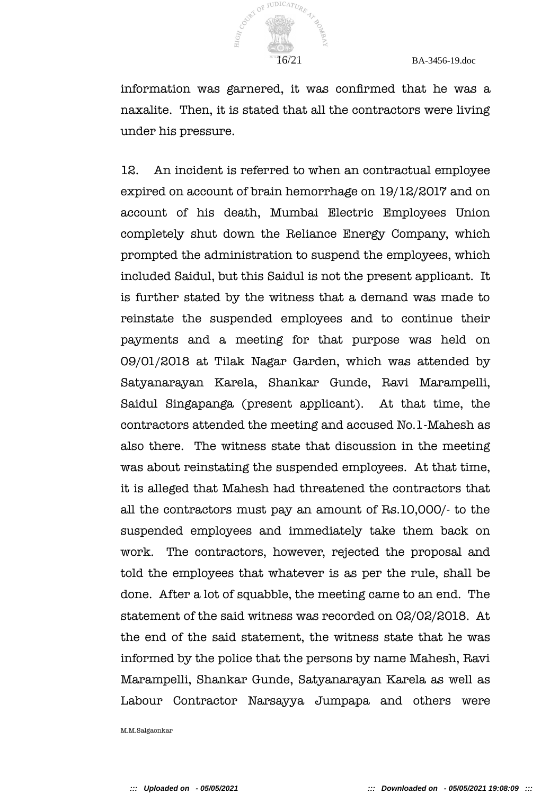

information was garnered, it was confrmed that he was a naxalite. Then, it is stated that all the contractors were living under his pressure.

12. An incident is referred to when an contractual employee expired on account of brain hemorrhage on 19/12/2017 and on account of his death, Mumbai Electric Employees Union completely shut down the Reliance Energy Company, which prompted the administration to suspend the employees, which included Saidul, but this Saidul is not the present applicant. It is further stated by the witness that a demand was made to reinstate the suspended employees and to continue their payments and a meeting for that purpose was held on 09/01/2018 at Tilak Nagar Garden, which was attended by Satyanarayan Karela, Shankar Gunde, Ravi Marampelli, Saidul Singapanga (present applicant). At that time, the contractors attended the meeting and accused No.1-Mahesh as also there. The witness state that discussion in the meeting was about reinstating the suspended employees. At that time, it is alleged that Mahesh had threatened the contractors that all the contractors must pay an amount of Rs.10,000/- to the suspended employees and immediately take them back on work. The contractors, however, rejected the proposal and told the employees that whatever is as per the rule, shall be done. After a lot of squabble, the meeting came to an end. The statement of the said witness was recorded on 02/02/2018. At the end of the said statement, the witness state that he was informed by the police that the persons by name Mahesh, Ravi Marampelli, Shankar Gunde, Satyanarayan Karela as well as Labour Contractor Narsayya Jumpapa and others were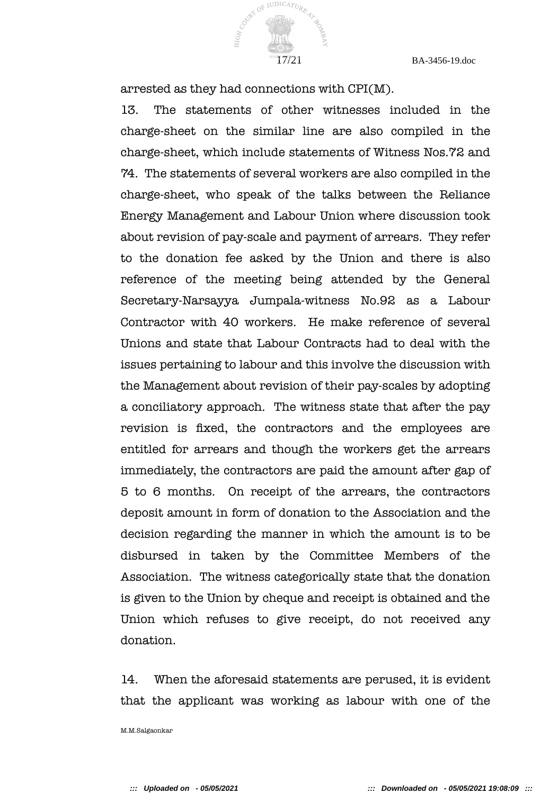

arrested as they had connections with CPI(M).

13. The statements of other witnesses included in the charge-sheet on the similar line are also compiled in the charge-sheet, which include statements of Witness Nos.72 and 74. The statements of several workers are also compiled in the charge-sheet, who speak of the talks between the Reliance Energy Management and Labour Union where discussion took about revision of pay-scale and payment of arrears. They refer to the donation fee asked by the Union and there is also reference of the meeting being attended by the General Secretary-Narsayya Jumpala-witness No.92 as a Labour Contractor with 40 workers. He make reference of several Unions and state that Labour Contracts had to deal with the issues pertaining to labour and this involve the discussion with the Management about revision of their pay-scales by adopting a conciliatory approach. The witness state that after the pay revision is fxed, the contractors and the employees are entitled for arrears and though the workers get the arrears immediately, the contractors are paid the amount after gap of 5 to 6 months. On receipt of the arrears, the contractors deposit amount in form of donation to the Association and the decision regarding the manner in which the amount is to be disbursed in taken by the Committee Members of the Association. The witness categorically state that the donation is given to the Union by cheque and receipt is obtained and the Union which refuses to give receipt, do not received any donation.

14. When the aforesaid statements are perused, it is evident that the applicant was working as labour with one of the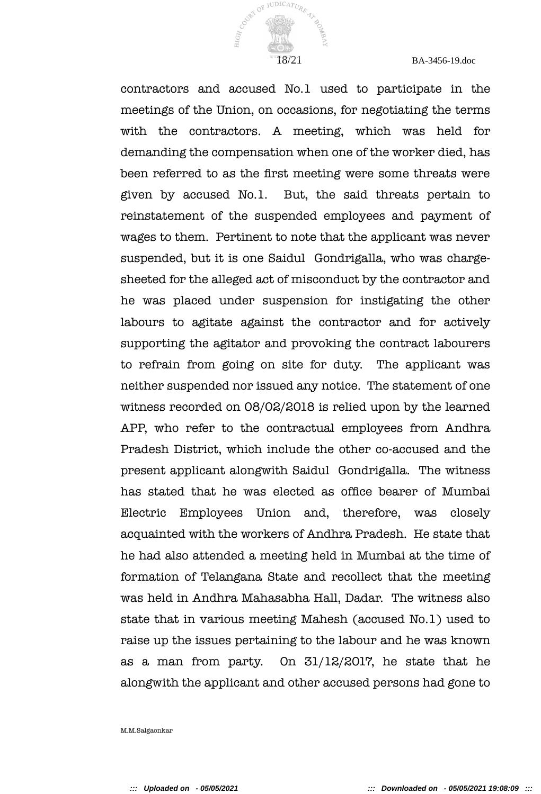

contractors and accused No.1 used to participate in the meetings of the Union, on occasions, for negotiating the terms with the contractors. A meeting, which was held for demanding the compensation when one of the worker died, has been referred to as the frst meeting were some threats were given by accused No.1. But, the said threats pertain to reinstatement of the suspended employees and payment of wages to them. Pertinent to note that the applicant was never suspended, but it is one Saidul Gondrigalla, who was chargesheeted for the alleged act of misconduct by the contractor and he was placed under suspension for instigating the other labours to agitate against the contractor and for actively supporting the agitator and provoking the contract labourers to refrain from going on site for duty. The applicant was neither suspended nor issued any notice. The statement of one witness recorded on 08/02/2018 is relied upon by the learned APP, who refer to the contractual employees from Andhra Pradesh District, which include the other co-accused and the present applicant alongwith Saidul Gondrigalla. The witness has stated that he was elected as office bearer of Mumbai Electric Employees Union and, therefore, was closely acquainted with the workers of Andhra Pradesh. He state that he had also attended a meeting held in Mumbai at the time of formation of Telangana State and recollect that the meeting was held in Andhra Mahasabha Hall, Dadar. The witness also state that in various meeting Mahesh (accused No.1) used to raise up the issues pertaining to the labour and he was known as a man from party. On 31/12/2017, he state that he alongwith the applicant and other accused persons had gone to

M.M.Salgaonkar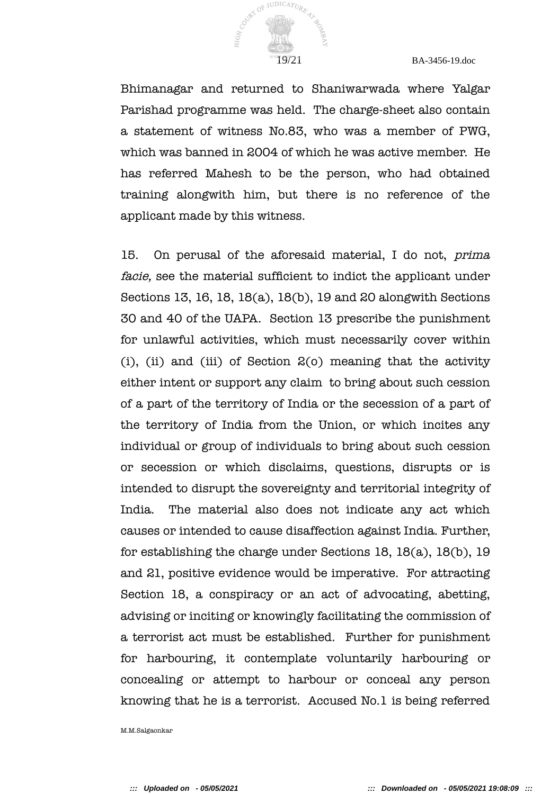

Bhimanagar and returned to Shaniwarwada where Yalgar Parishad programme was held. The charge-sheet also contain a statement of witness No.83, who was a member of PWG, which was banned in 2004 of which he was active member. He has referred Mahesh to be the person, who had obtained training alongwith him, but there is no reference of the applicant made by this witness.

15. On perusal of the aforesaid material, I do not, prima facie, see the material sufficient to indict the applicant under Sections 13, 16, 18, 18(a), 18(b), 19 and 20 alongwith Sections 30 and 40 of the UAPA. Section 13 prescribe the punishment for unlawful activities, which must necessarily cover within (i), (ii) and (iii) of Section  $2(0)$  meaning that the activity either intent or support any claim to bring about such cession of a part of the territory of India or the secession of a part of the territory of India from the Union, or which incites any individual or group of individuals to bring about such cession or secession or which disclaims, questions, disrupts or is intended to disrupt the sovereignty and territorial integrity of India. The material also does not indicate any act which causes or intended to cause disaffection against India. Further, for establishing the charge under Sections 18, 18(a), 18(b), 19 and 21, positive evidence would be imperative. For attracting Section 18, a conspiracy or an act of advocating, abetting, advising or inciting or knowingly facilitating the commission of a terrorist act must be established. Further for punishment for harbouring, it contemplate voluntarily harbouring or concealing or attempt to harbour or conceal any person knowing that he is a terrorist. Accused No.1 is being referred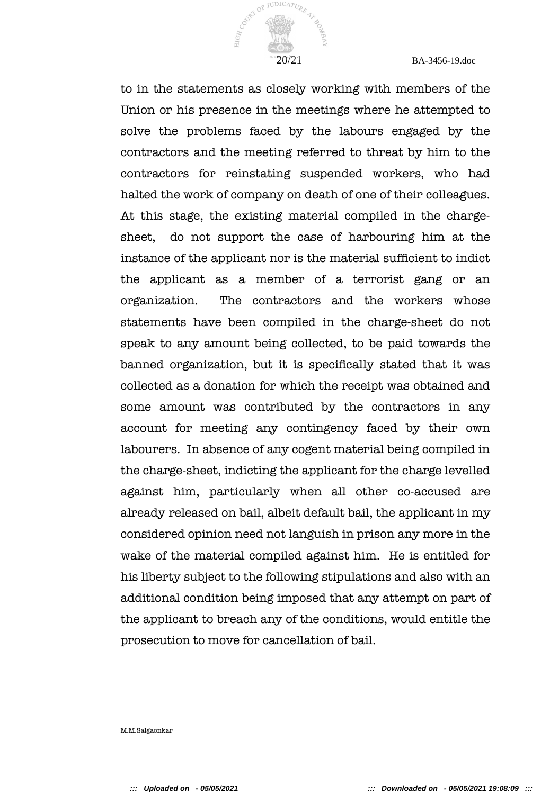

to in the statements as closely working with members of the Union or his presence in the meetings where he attempted to solve the problems faced by the labours engaged by the contractors and the meeting referred to threat by him to the contractors for reinstating suspended workers, who had halted the work of company on death of one of their colleagues. At this stage, the existing material compiled in the chargesheet, do not support the case of harbouring him at the instance of the applicant nor is the material suffcient to indict the applicant as a member of a terrorist gang or an organization. The contractors and the workers whose statements have been compiled in the charge-sheet do not speak to any amount being collected, to be paid towards the banned organization, but it is specifcally stated that it was collected as a donation for which the receipt was obtained and some amount was contributed by the contractors in any account for meeting any contingency faced by their own labourers. In absence of any cogent material being compiled in the charge-sheet, indicting the applicant for the charge levelled against him, particularly when all other co-accused are already released on bail, albeit default bail, the applicant in my considered opinion need not languish in prison any more in the wake of the material compiled against him. He is entitled for his liberty subject to the following stipulations and also with an additional condition being imposed that any attempt on part of the applicant to breach any of the conditions, would entitle the prosecution to move for cancellation of bail.

M.M.Salgaonkar